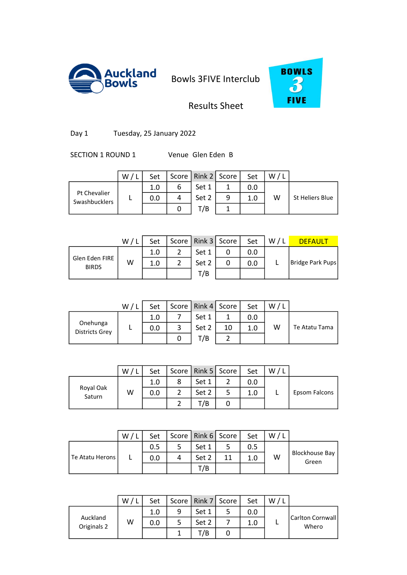



### Results Sheet

Day 1 Tuesday, 25 January 2022

SECTION 1 ROUND 1 Venue Glen Eden B

|                               | W | Set |   | Score   Rink 2   Score |   | Set | W |                 |
|-------------------------------|---|-----|---|------------------------|---|-----|---|-----------------|
|                               |   | 1.0 | 6 | Set 1                  |   | 0.0 |   |                 |
| Pt Chevalier<br>Swashbucklers |   | 0.0 | 4 | Set 2                  | 9 | 1.0 | W | St Heliers Blue |
|                               |   |     |   | T/B                    |   |     |   |                 |
|                               |   |     |   |                        |   |     |   |                 |

|                                | W / L | Set |   | Score   Rink 3   Score |   | Set | W/L | <b>DEFAULT</b>   |
|--------------------------------|-------|-----|---|------------------------|---|-----|-----|------------------|
|                                |       | 1.0 | າ | Set 1                  | 0 | 0.0 |     |                  |
| Glen Eden FIRE<br><b>BIRDS</b> | W     | 1.0 |   | Set 2                  | 0 | 0.0 |     | Bridge Park Pups |
|                                |       |     |   | T/B                    |   |     |     |                  |
|                                |       |     |   |                        |   |     |     |                  |

|                                   | W/ | Set |   | Score   Rink 4   Score |    | Set | W |               |
|-----------------------------------|----|-----|---|------------------------|----|-----|---|---------------|
|                                   |    | 1.0 |   | Set 1                  |    | 0.0 |   |               |
| Onehunga<br><b>Districts Grey</b> |    | 0.0 | 3 | Set 2                  | 10 | 1.0 | W | Te Atatu Tama |
|                                   |    |     |   | T/B                    |    |     |   |               |
|                                   |    |     |   |                        |    |     |   |               |

|                     | W | Set | Score   Rink 5   Score | Set | W |               |
|---------------------|---|-----|------------------------|-----|---|---------------|
|                     |   | 1.0 | Set 1                  | 0.0 |   |               |
| Royal Oak<br>Saturn | W | 0.0 | Set 2                  | 1.0 |   | Epsom Falcons |
|                     |   |     | T/B                    |     |   |               |

|                 | W | Set | Score   Rink 6   Score |    | Set | W |                         |
|-----------------|---|-----|------------------------|----|-----|---|-------------------------|
|                 |   | 0.5 | Set 1                  |    | 0.5 |   |                         |
| Te Atatu Herons |   | 0.0 | Set 2                  | 11 | 1.0 | W | Blockhouse Bay<br>Green |
|                 |   |     | 7B                     |    |     |   |                         |

|                         | W / I | Set |   | Score   Rink 7   Score |   | Set | W/L |                             |
|-------------------------|-------|-----|---|------------------------|---|-----|-----|-----------------------------|
| Auckland<br>Originals 2 | W     | 1.0 | 9 | Set 1                  | 5 | 0.0 |     | Carlton Cornwall  <br>Whero |
|                         |       | 0.0 | 5 | Set 2                  |   | 1.0 |     |                             |
|                         |       |     |   | T/B                    | U |     |     |                             |
|                         |       |     |   |                        |   |     |     |                             |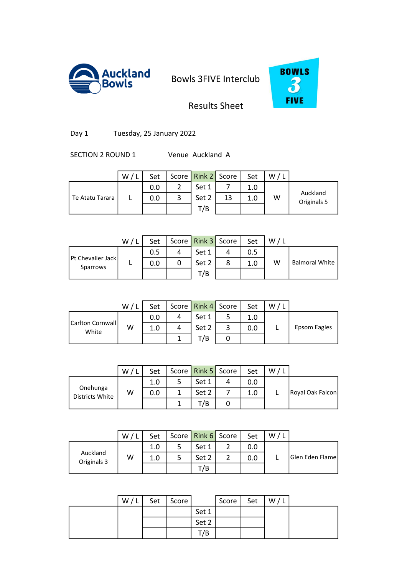



# Results Sheet

Day 1 Tuesday, 25 January 2022

SECTION 2 ROUND 1 Venue Auckland A

|                 | W/1 | Set |   | Score   Rink 2   Score |    | Set | W/ |                         |
|-----------------|-----|-----|---|------------------------|----|-----|----|-------------------------|
|                 |     | 0.0 |   | Set 1                  |    | 1.0 |    |                         |
| Te Atatu Tarara |     | 0.0 | 3 | Set 2                  | 13 | 1.0 | W  | Auckland<br>Originals 5 |
|                 |     |     |   | T/B                    |    |     |    |                         |
|                 |     |     |   |                        |    |     |    |                         |

|                                      | W/1 | Set | Score   Rink 3   Score | Set | W/L |                       |
|--------------------------------------|-----|-----|------------------------|-----|-----|-----------------------|
|                                      |     | 0.5 | Set 1                  | 0.5 |     |                       |
| <b>Pt Chevalier Jack</b><br>Sparrows |     | 0.0 | Set 2                  | 1.0 | W   | <b>Balmoral White</b> |
|                                      |     |     | T/B                    |     |     |                       |
|                                      |     |     |                        |     |     |                       |

|                            | W/ | Set |   | Score   Rink 4   Score |   | Set | W/L |              |
|----------------------------|----|-----|---|------------------------|---|-----|-----|--------------|
|                            |    | 0.0 |   | Set 1                  |   | 1.0 |     |              |
| Carlton Cornwall <br>White | W  | 1.0 | 4 | Set 2                  | 3 | 0.0 |     | Epsom Eagles |
|                            |    |     |   | T/B                    |   |     |     |              |
|                            |    |     |   |                        |   |     |     |              |

|                             | W | Set | Score   Rink 5   Score |   | Set | W |                  |
|-----------------------------|---|-----|------------------------|---|-----|---|------------------|
|                             |   | 1.0 | Set 1                  |   | 0.0 |   |                  |
| Onehunga<br>Districts White | W | 0.0 | Set 2                  |   | 1.0 |   | Royal Oak Falcon |
|                             |   |     | T/B                    | U |     |   |                  |

|                         | w | Set | Score   Rink 6   Score | Set | W |                        |
|-------------------------|---|-----|------------------------|-----|---|------------------------|
| Auckland<br>Originals 3 |   | 1.0 | Set 1                  | ა.ი |   |                        |
|                         | W | 1.0 | Set 2                  | 0.0 |   | <b>Glen Eden Flame</b> |
|                         |   |     | T/B                    |     |   |                        |

| W/L | Set | Score |       | Score | Set | W/L |  |
|-----|-----|-------|-------|-------|-----|-----|--|
|     |     |       | Set 1 |       |     |     |  |
|     |     |       | Set 2 |       |     |     |  |
|     |     |       | T/B   |       |     |     |  |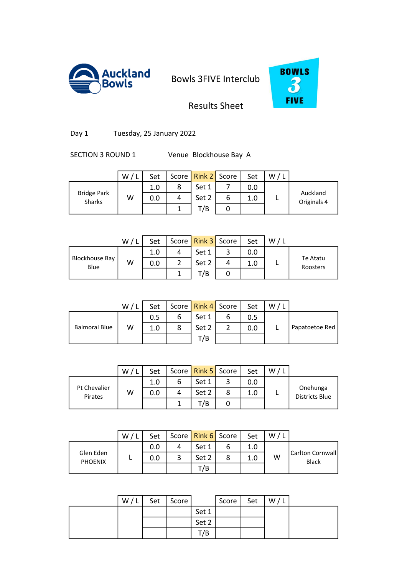



Results Sheet

Day 1 Tuesday, 25 January 2022

SECTION 3 ROUND 1 Venue Blockhouse Bay A

|                              | W/1 | Set |   | Score   Rink 2   Score |   | Set | W/ |                         |
|------------------------------|-----|-----|---|------------------------|---|-----|----|-------------------------|
|                              |     | 1.0 | 8 | Set 1                  |   | 0.0 |    |                         |
| <b>Bridge Park</b><br>Sharks | W   | 0.0 | 4 | Set 2                  | 6 | 1.0 |    | Auckland<br>Originals 4 |
|                              |     |     |   | T/B                    |   |     |    |                         |
|                              |     |     |   |                        |   |     |    |                         |

|                               | W/ | Set |    | Score   Rink 3   Score |   | Set | W/L |                      |
|-------------------------------|----|-----|----|------------------------|---|-----|-----|----------------------|
|                               |    | 1.0 |    | Set 1                  | 3 | 0.0 |     |                      |
| <b>Blockhouse Bay</b><br>Blue | W  | 0.0 | ົາ | Set 2                  | 4 | 1.0 |     | Te Atatu<br>Roosters |
|                               |    |     |    | T/B                    |   |     |     |                      |
|                               |    |     |    |                        |   |     |     |                      |

|                      | W/1 | Set |   | Score   Rink 4   Score |   | Set | W |                |
|----------------------|-----|-----|---|------------------------|---|-----|---|----------------|
|                      |     | 0.5 | 6 | Set 1                  | ь | 0.5 |   |                |
| <b>Balmoral Blue</b> | W   | 1.0 | 8 | Set 2                  |   | 0.0 |   | Papatoetoe Red |
|                      |     |     |   | T/B                    |   |     |   |                |
|                      |     |     |   |                        |   |     |   |                |

|                         | W | Set |   | Score   Rink 5   Score | Set | W |                            |
|-------------------------|---|-----|---|------------------------|-----|---|----------------------------|
|                         |   | 1.0 |   | Set 1                  | 0.0 |   |                            |
| Pt Chevalier<br>Pirates | W | 0.0 | 4 | Set 2                  | 1.0 |   | Onehunga<br>Districts Blue |
|                         |   |     |   | /B                     |     |   |                            |

|                             | W | Set |   | Score   Rink 6   Score | Set | W |                                  |
|-----------------------------|---|-----|---|------------------------|-----|---|----------------------------------|
| Glen Eden<br><b>PHOENIX</b> |   | 0.0 |   | Set 1                  | 1.0 |   |                                  |
|                             |   | 0.0 | ົ | Set 2                  | 1.0 | w | Carlton Cornwall<br><b>Black</b> |
|                             |   |     |   | T/B                    |     |   |                                  |

| W/L | Set | Score |       | Score | Set | W/L |  |
|-----|-----|-------|-------|-------|-----|-----|--|
|     |     |       | Set 1 |       |     |     |  |
|     |     |       | Set 2 |       |     |     |  |
|     |     |       | T/B   |       |     |     |  |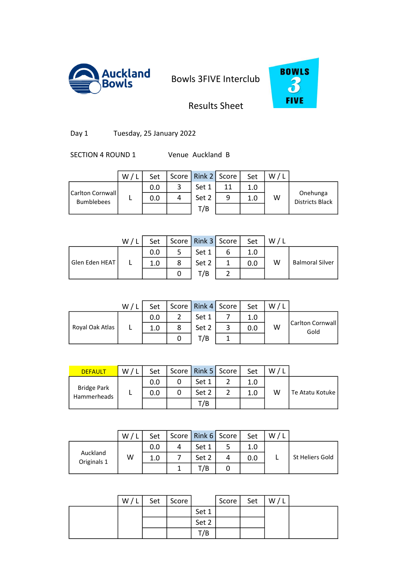



### Results Sheet

Day 1 Tuesday, 25 January 2022

SECTION 4 ROUND 1 Venue Auckland B

|                                        | $\cdot$ W $\prime$ ' | Set |   | Score   Rink 2   Score |    | Set | W/ |                                    |
|----------------------------------------|----------------------|-----|---|------------------------|----|-----|----|------------------------------------|
|                                        |                      | 0.0 |   | Set 1                  | 11 | 1.0 |    |                                    |
| Carlton Cornwall <br><b>Bumblebees</b> |                      | 0.0 | 4 | Set 2                  | 9  | 1.0 | W  | Onehunga<br><b>Districts Black</b> |
|                                        |                      |     |   | T/B                    |    |     |    |                                    |
|                                        |                      |     |   |                        |    |     |    |                                    |

|                | W/L | Set |   | Score   Rink 3   Score |   | Set | W/L |                        |
|----------------|-----|-----|---|------------------------|---|-----|-----|------------------------|
|                |     | 0.0 |   | Set 1                  | ь | 1.0 |     |                        |
| Glen Eden HEAT |     | 1.0 | 8 | Set 2                  |   | 0.0 | W   | <b>Balmoral Silver</b> |
|                |     |     |   | T/B                    |   |     |     |                        |
|                |     |     |   |                        |   |     |     |                        |

|                 | W/L | Set |   | Score   Rink 4   Score |   | Set | W/L |                          |
|-----------------|-----|-----|---|------------------------|---|-----|-----|--------------------------|
|                 |     | 0.0 |   | Set 1                  |   | 1.0 |     |                          |
| Royal Oak Atlas |     | 1.0 | 8 | Set 2                  | 3 | 0.0 | W   | Carlton Cornwall<br>Gold |
|                 |     |     |   | T/B                    |   |     |     |                          |
|                 |     |     |   |                        |   |     |     |                          |

| <b>DEFAULT</b>                    | W/L | Set | Score   Rink 5   Score | Set | W |                 |
|-----------------------------------|-----|-----|------------------------|-----|---|-----------------|
| <b>Bridge Park</b><br>Hammerheads |     | 0.0 | Set 1                  | 1.0 |   |                 |
|                                   |     | 0.0 | Set 2                  | 1.0 | W | Te Atatu Kotuke |
|                                   |     |     | T/B                    |     |   |                 |

|                         | W | Set |   | Score   Rink 6   Score |   | Set | W |                 |
|-------------------------|---|-----|---|------------------------|---|-----|---|-----------------|
|                         |   | 0.0 | 4 | Set 1                  |   |     |   |                 |
| Auckland<br>Originals 1 | W | 1.0 |   | Set 2                  |   | 0.0 |   | St Heliers Gold |
|                         |   |     |   | -/B                    | υ |     |   |                 |

| W/L | Set | Score |       | Score | Set | W/I |  |
|-----|-----|-------|-------|-------|-----|-----|--|
|     |     |       | Set 1 |       |     |     |  |
|     |     |       | Set 2 |       |     |     |  |
|     |     |       | T/B   |       |     |     |  |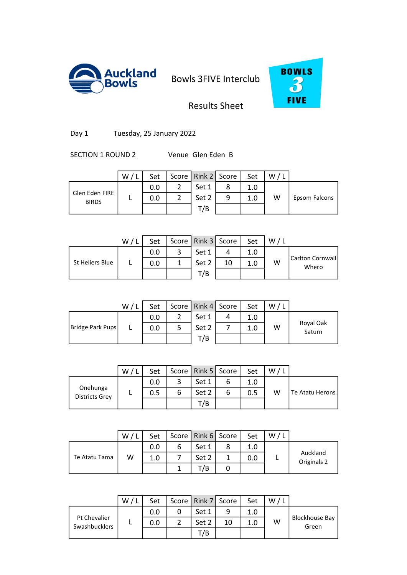



## Results Sheet

Day 1 Tuesday, 25 January 2022

SECTION 1 ROUND 2 Venue Glen Eden B

|                                | W/ | Set | Score   Rink 2   Score |   | Set | W |               |
|--------------------------------|----|-----|------------------------|---|-----|---|---------------|
|                                |    | 0.0 | Set 1                  | 8 | 1.0 |   |               |
| Glen Eden FIRE<br><b>BIRDS</b> |    | 0.0 | Set 2                  | 9 | 1.0 | W | Epsom Falcons |
|                                |    |     | T/B                    |   |     |   |               |
|                                |    |     |                        |   |     |   |               |

|                 | W/ | Set |   | Score   Rink 3   Score |    | Set | W/L |                           |
|-----------------|----|-----|---|------------------------|----|-----|-----|---------------------------|
|                 |    | 0.0 | 3 | Set 1                  |    | 1.0 |     |                           |
| St Heliers Blue |    | 0.0 |   | Set 2                  | 10 | 1.0 | W   | Carlton Cornwall<br>Whero |
|                 |    |     |   | T/B                    |    |     |     |                           |
|                 |    |     |   |                        |    |     |     |                           |

|                  | W/ | Set |   | Score   Rink 4   Score |   | Set | W/L |                     |
|------------------|----|-----|---|------------------------|---|-----|-----|---------------------|
|                  |    | 0.0 | ຳ | Set 1                  | 4 | 1.0 |     |                     |
| Bridge Park Pups |    | 0.0 | 5 | Set 2                  |   | 1.0 | W   | Royal Oak<br>Saturn |
|                  |    |     |   | T/B                    |   |     |     |                     |
|                  |    |     |   |                        |   |     |     |                     |

|                                   | W | Set | Score   Rink 5   Score | Set | W |                 |
|-----------------------------------|---|-----|------------------------|-----|---|-----------------|
| Onehunga<br><b>Districts Grey</b> |   | 0.0 | Set 1                  | 1.0 |   |                 |
|                                   |   | 0.5 | Set 2                  | 0.5 | W | Te Atatu Herons |
|                                   |   |     | T/B                    |     |   |                 |

|               | W | Set | Score   Rink 6   Score | Set | w |                         |
|---------------|---|-----|------------------------|-----|---|-------------------------|
|               |   | 0.0 | Set 1                  | 1.0 |   |                         |
| Te Atatu Tama | W | 1.0 | Set 2                  | 0.0 |   | Auckland<br>Originals 2 |
|               |   |     | /B                     |     |   |                         |

|                                      | W | Set | Score   Rink 7   Score |    | Set | W |                         |
|--------------------------------------|---|-----|------------------------|----|-----|---|-------------------------|
|                                      |   | 0.0 | Set 1                  | q  | 1.0 |   |                         |
| Pt Chevalier<br><b>Swashbucklers</b> |   | 0.0 | Set 2                  | 10 | 1.0 | W | Blockhouse Bay<br>Green |
|                                      |   |     | T/B                    |    |     |   |                         |

0 0.0 2 19 2.0 3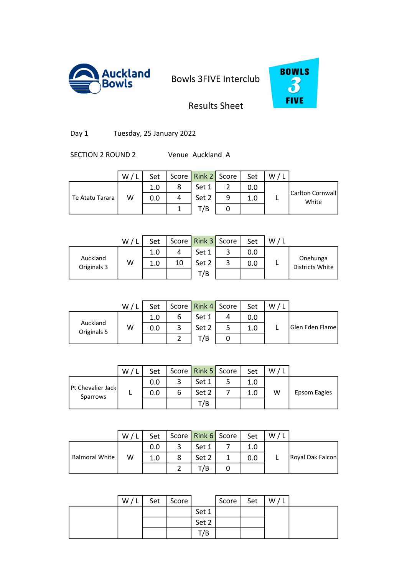



Results Sheet

Day 1 Tuesday, 25 January 2022

SECTION 2 ROUND 2 Venue Auckland A

|                 | W/L | Set |   | Score   Rink 2   Score |   | Set | W |                           |
|-----------------|-----|-----|---|------------------------|---|-----|---|---------------------------|
|                 |     | 1.0 | 8 | Set 1                  |   | 0.0 |   |                           |
| Te Atatu Tarara | W   | 0.0 | 4 | Set 2                  | 9 | 1.0 |   | Carlton Cornwall<br>White |
|                 |     |     |   | T/B                    |   |     |   |                           |
|                 |     |     |   |                        |   |     |   |                           |

|                         | W/L | Set |    | Score   Rink 3   Score |   | Set | W/L |                                    |
|-------------------------|-----|-----|----|------------------------|---|-----|-----|------------------------------------|
|                         |     | 1.0 | 4  | Set 1                  | 3 | 0.0 |     |                                    |
| Auckland<br>Originals 3 | w   | 1.0 | 10 | Set 2                  | 3 | 0.0 |     | Onehunga<br><b>Districts White</b> |
|                         |     |     |    | T/B                    |   |     |     |                                    |
|                         |     |     |    |                        |   |     |     |                                    |

|                         | W/1 | Set |   | Score   Rink 4   Score |   | Set | W/L |                 |
|-------------------------|-----|-----|---|------------------------|---|-----|-----|-----------------|
|                         |     | 1.0 | 6 | Set 1                  | 4 | 0.0 |     |                 |
| Auckland<br>Originals 5 | W   | 0.0 | 3 | Set 2                  |   | 1.0 |     | Glen Eden Flame |
|                         |     |     |   | T/B                    | 0 |     |     |                 |
|                         |     |     |   |                        |   |     |     |                 |

|                                      | W | Set | Score   Rink 5   Score | Set | W |              |
|--------------------------------------|---|-----|------------------------|-----|---|--------------|
|                                      |   | 0.0 | Set 1                  | 1.0 |   |              |
| <b>Pt Chevalier Jack</b><br>Sparrows |   | 0.0 | Set 2                  | 1.0 | W | Epsom Eagles |
|                                      |   |     | T/B                    |     |   |              |

|                       | W | Set |   | Score Rink 6 Score | Set | W |                  |
|-----------------------|---|-----|---|--------------------|-----|---|------------------|
|                       |   | 0.0 |   | Set 1              |     |   |                  |
| <b>Balmoral White</b> | W | 1.0 | 8 | Set 2              | 0.0 |   | Royal Oak Falcon |
|                       |   |     |   | 7/B                |     |   |                  |

| W/L | Set | Score |       | Score | Set | W/L |  |
|-----|-----|-------|-------|-------|-----|-----|--|
|     |     |       | Set 1 |       |     |     |  |
|     |     |       | Set 2 |       |     |     |  |
|     |     |       | T/B   |       |     |     |  |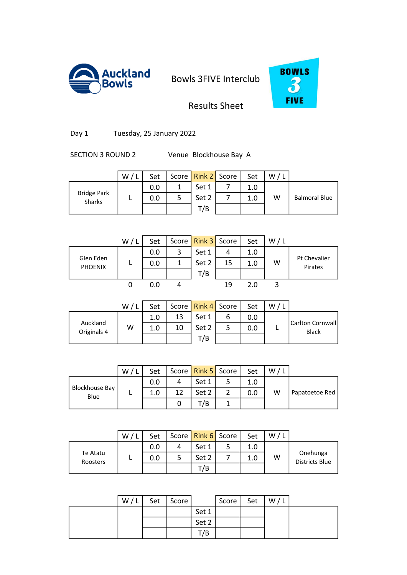



Results Sheet

Day 1 Tuesday, 25 January 2022

SECTION 3 ROUND 2 Venue Blockhouse Bay A

|                              | W/ | Set |   | Score   Rink 2   Score | Set | W/ |                      |
|------------------------------|----|-----|---|------------------------|-----|----|----------------------|
|                              |    | 0.0 | 1 | Set 1                  | 1.0 |    |                      |
| <b>Bridge Park</b><br>Sharks |    | 0.0 | 5 | Set 2                  | 1.0 | W  | <b>Balmoral Blue</b> |
|                              |    |     |   | T/B                    |     |    |                      |
|                              |    |     |   |                        |     |    |                      |

|                             | W/1 | Set |   | Score   Rink 3   Score |    | Set | W/L |                         |
|-----------------------------|-----|-----|---|------------------------|----|-----|-----|-------------------------|
|                             |     | 0.0 | 3 | Set 1                  | 4  | 1.0 |     |                         |
| Glen Eden<br><b>PHOENIX</b> |     | 0.0 |   | Set 2                  | 15 | 1.0 | W   | Pt Chevalier<br>Pirates |
|                             |     |     |   | T/B                    |    |     |     |                         |
|                             |     | 0.0 |   |                        | 19 | 2.0 |     |                         |

|                         | W/1 | Set |    | Score   Rink 4   Score |   | Set | W |                                  |
|-------------------------|-----|-----|----|------------------------|---|-----|---|----------------------------------|
|                         |     | 1.0 | 13 | Set 1                  | ь | 0.0 |   |                                  |
| Auckland<br>Originals 4 | W   | 1.0 | 10 | Set 2                  | 5 | 0.0 |   | Carlton Cornwall<br><b>Black</b> |
|                         |     |     |    | T/B                    |   |     |   |                                  |
|                         |     |     |    |                        |   |     |   |                                  |

|                               | W | Set |    | Score   Rink 5   Score | Set | w |                |
|-------------------------------|---|-----|----|------------------------|-----|---|----------------|
|                               |   | 0.0 |    | Set 1                  |     |   |                |
| <b>Blockhouse Bay</b><br>Blue |   |     | 12 | Set 2                  | 0.0 | W | Papatoetoe Red |
|                               |   |     |    | '/B                    |     |   |                |

|                      | W | Set |   | Score   Rink 6   Score | Set | W |                                   |
|----------------------|---|-----|---|------------------------|-----|---|-----------------------------------|
|                      |   | 0.0 | 4 | Set 1                  | 1.0 |   |                                   |
| Te Atatu<br>Roosters |   | 0.0 |   | Set 2                  | 1.0 | W | Onehunga<br><b>Districts Blue</b> |
|                      |   |     |   | T/B                    |     |   |                                   |

| W/L | Set | Score |       | Score | Set | W/I |  |
|-----|-----|-------|-------|-------|-----|-----|--|
|     |     |       | Set 1 |       |     |     |  |
|     |     |       | Set 2 |       |     |     |  |
|     |     |       | T/B   |       |     |     |  |